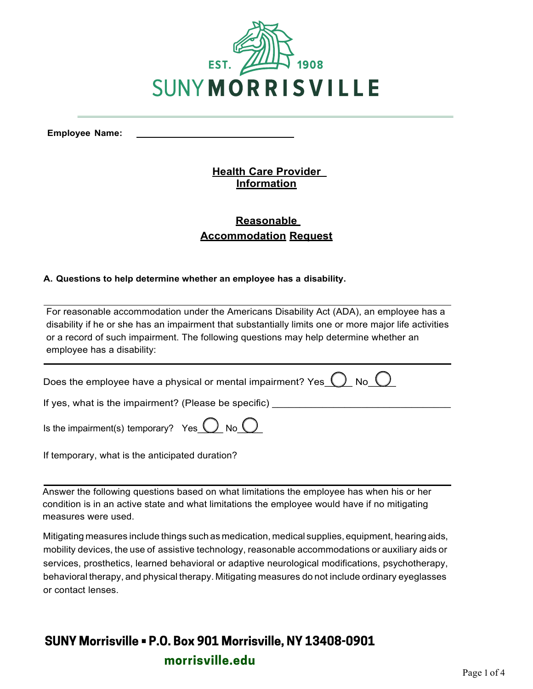

**Employee Name:** 

### **Health Care Provider Information**

## **Reasonable Accommodation Request**

### **A. Questions to help determine whether an employee has a disability.**

For reasonable accommodation under the Americans Disability Act (ADA), an employee has a disability if he or she has an impairment that substantially limits one or more major life activities or a record of such impairment. The following questions may help determine whether an employee has a disability:

Does the employee have a physical or mental impairment? Yes  $\bigcirc$  No  $\bigcirc$ 

If yes, what is the impairment? (Please be specific)

Is the impairment(s) temporary? Yes  $\bigcirc$  No  $\bigcirc$ 

If temporary, what is the anticipated duration?

Answer the following questions based on what limitations the employee has when his or her condition is in an active state and what limitations the employee would have if no mitigating measures were used.

Mitigating measures include things such as medication, medical supplies, equipment, hearing aids, mobility devices, the use of assistive technology, reasonable accommodations or auxiliary aids or services, prosthetics, learned behavioral or adaptive neurological modifications, psychotherapy, behavioral therapy, and physical therapy. Mitigating measures do not include ordinary eyeglasses or contact lenses.

# **SUNY Morrisville • P.O. Box 901 Morrisville, NY 13408-0901 morrisville.edu**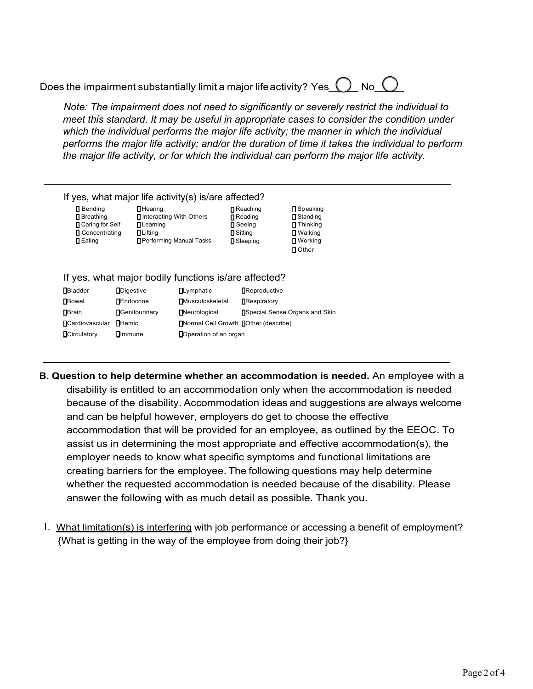Does the impairment substantially limit a major life activity? Yes  $\bigcirc$  No  $\bigcirc$ 

*Note: The impairment does not need to significantly or severely restrict the individual to meet this standard. It may be useful in appropriate cases to consider the condition under which the individual performs the major life activity; the manner in which the individual performs the major life activity; and/or the duration of time it takes the individual to perform the major life activity, or for which the individual can perform the major life activity.* 

#### If yes, what major life activity(s) is/are affected?

| $\blacksquare$ Bending | $\blacksquare$ Hearing    | Reaching              | <b>□</b> Speaking       |
|------------------------|---------------------------|-----------------------|-------------------------|
| <b>□</b> Breathing     | □ Interacting With Others | <b>∏</b> Reading      | <b>∏</b> Standing       |
| □ Caring for Self      | <b>□</b> Learning         | $\blacksquare$ Seeing | $\blacksquare$ Thinking |
| <b>□</b> Concentrating | $\blacksquare$ Lifting    | <b>n</b> Sitting      | <b>Ⅱ</b> Walking        |
| $\Box$ Eating          | □ Performing Manual Tasks | <b>□</b> Sleeping     | <b>■</b> Working        |
|                        |                           |                       | <b>□</b> Other          |

### If yes, what major bodily functions is/are affected?

| <b>Bladder</b>        | <b>D</b> igestive      | $\Box$ Lymphatic                             | <b>Reproductive</b>                    |
|-----------------------|------------------------|----------------------------------------------|----------------------------------------|
| <b>∏</b> Bowel        | <b>DEndocrine</b>      | <b>Musculoskeletal</b>                       | <b>Respiratory</b>                     |
| <b>N</b> Brain        | <b>N</b> Genitourinary | <b>Neurological</b>                          | <b>N</b> Special Sense Organs and Skin |
| <b>Cardiovascular</b> | <b></b> ∐Hemic         | <b>INormal Cell Growth IDther (describe)</b> |                                        |
| <b>Circulatory</b>    | <b>Olmmune</b>         | Doperation of an organ                       |                                        |

- **B. Question to help determine whether an accommodation is needed.** An employee with a disability is entitled to an accommodation only when the accommodation is needed because of the disability. Accommodation ideas and suggestions are always welcome and can be helpful however, employers do get to choose the effective accommodation that will be provided for an employee, as outlined by the EEOC. To assist us in determining the most appropriate and effective accommodation(s), the employer needs to know what specific symptoms and functional limitations are creating barriers for the employee. The following questions may help determine whether the requested accommodation is needed because of the disability. Please answer the following with as much detail as possible. Thank you.
- 1. What limitation(s) is interfering with job performance or accessing a benefit of employment? {What is getting in the way of the employee from doing their job?}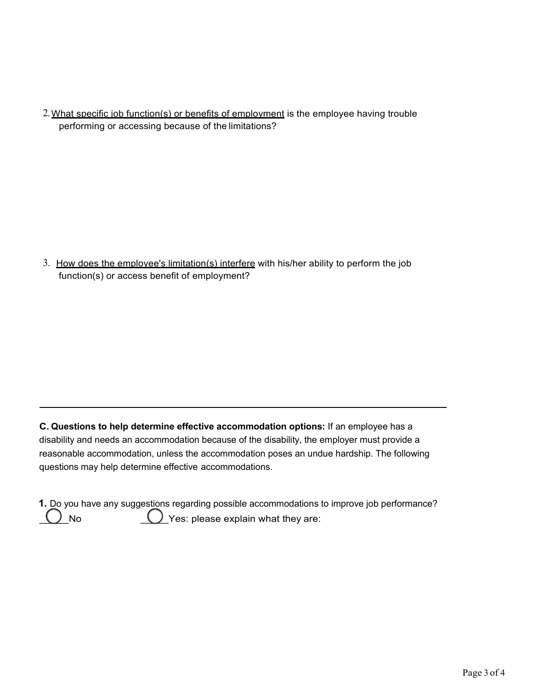2. What specific job function(s) or benefits of employment is the employee having trouble performing or accessing because of the limitations?

3. How does the employee's limitation(s) interfere with his/her ability to perform the job function(s) or access benefit of employment?

**C. Questions to help determine effective accommodation options:** If an employee has a disability and needs an accommodation because of the disability, the employer must provide a reasonable accommodation, unless the accommodation poses an undue hardship. The following questions may help determine effective accommodations.

**1.** Do you have any suggestions regarding possible accommodations to improve job performance? ) No  $\bigcup$  Yes: please explain what they are: